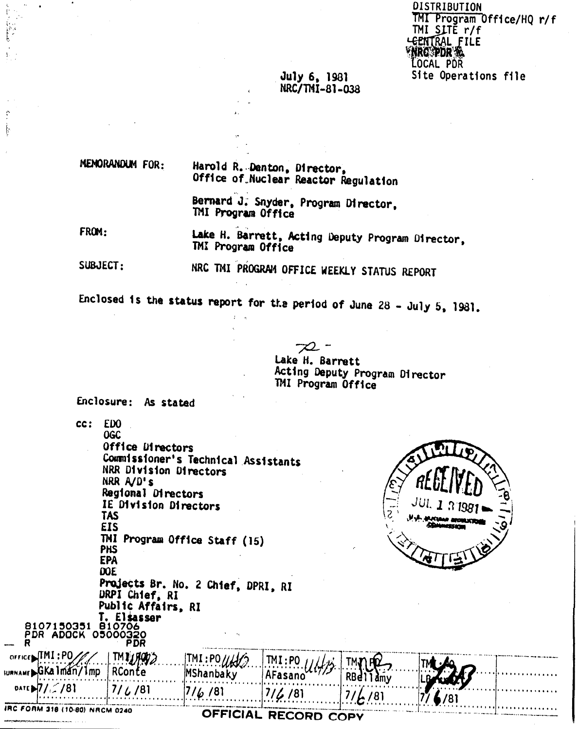| DISTRIBUTION             |                           |  |
|--------------------------|---------------------------|--|
|                          | TMI Program Office/HQ r/f |  |
| TMI SLTĚ r/f             |                           |  |
|                          |                           |  |
| LEENTRAL FILE<br>WRO PDR |                           |  |
| LOCAL POR                |                           |  |
|                          | Site Operations file      |  |

# July 6, 1981<br>NRC/TMI-81-038

MENORANDUM FOR:

 $\Lambda$ 

 $\ddot{\cdot}$ ķ

> Harold R. Denton, Director, Office of Nuclear Reactor Regulation

> Bernard J. Snyder, Program Director, TMI Program Office

FROM: Lake H. Barrett, Acting Deputy Program Director, TMI Program Office

SUBJECT: NRC TMI PROGRAM OFFICE WEEKLY STATUS REPORT

Enclosed is the status report for the period of June 28 - July 5, 1981.

Lake H. Barrett Acting Deputy Program Director TMI Program Office

Enclosure: As stated

 $cc:$  FDO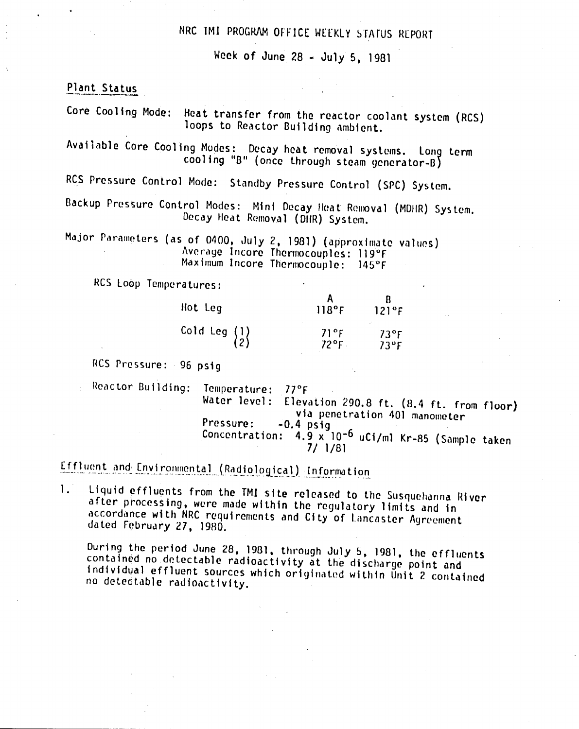# NRC TMI PROGRAM OFFICE WEEKLY STATUS REPORT

Week of June 28 - July 5, 1981

Plant Status

Core Cooling Mode: Heat transfer from the reactor coolant system (RCS) loops to Reactor Building ambient.

Available Core Cooling Modes: Decay heat removal systems. Long term cooling "B" (once through steam generator-B)

RCS Pressure Control Mode: Standby Pressure Control (SPC) System.

Backup Pressure Control Modes: Mini Decay Heat Removal (MDHR) System. Decay Heat Removal (DHR) System.

Major Parameters (as of 0400, July 2, 1981) (approximate values) Average Incore Thermocouples: 119°F Maximum Incore Thermocouple: 145°F

RCS Loop Temperatures:

| Hot Leg                                         | 118°F                  | 121°F                          |
|-------------------------------------------------|------------------------|--------------------------------|
| Cold Leg $\begin{Bmatrix} 1 \\ 2 \end{Bmatrix}$ | 71°F<br>$72^{\circ}$ F | $73^{\circ}$ F<br>$73^\circ F$ |

### RCS Pressure: 96 psig

Reactor Building: Temperature: 77°F Elevation 290.8 ft. (8.4 ft. from floor) Water level: via penetration 401 manometer Pressure:  $-0.4$  psiq Concentration: 4.9 x 10-6 uCi/ml Kr-85 (Sample taken  $7/1/81$ 

# Effluent and Environmental (Radiological) Information

Liquid effluents from the TMI site released to the Susquehanna River  $1.$ after processing, were made within the regulatory limits and in accordance with NRC requirements and City of Lancaster Agreement dated February 27, 1980.

During the period June 28, 1981, through July 5, 1981, the effluents contained no detectable radioactivity at the discharge point and individual effluent sources which originated within Unit 2 contained no detectable radioactivity.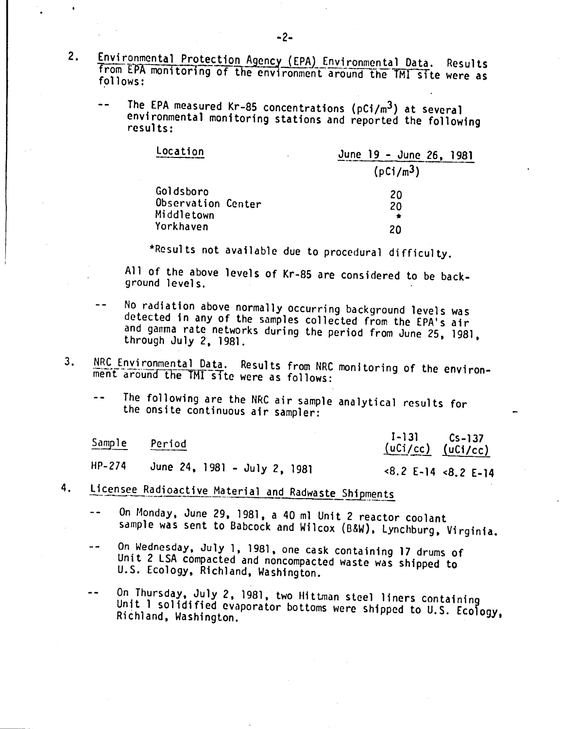- 2. Environmental Protection Agency (EPA) Environmental Data. Results from EPA monitoring of the environment around the TMI site were as follows:
	- The EPA measured Kr-85 concentrations ( $pCi/m<sup>3</sup>$ ) at several environmental monitoring stations and reported the following results:

| Location           | June 19 - June 26, 1981 |
|--------------------|-------------------------|
|                    | (pCi/m <sup>3</sup> )   |
| Goldsboro          | 20                      |
| Observation Center | 20                      |
| Middletown         |                         |
| Yorkhaven          | 20                      |

\*Resul ts not available due to procedural di fficul ty.

All of the above levels of Kr-85 are considered to be background levels.

- No radiation above normally occurring background levels was detected in any of the samples collected from the EPA's air and gamma rate networks during the period from June 25, 1981, through July 2, 1981.
- 3. NRC Environmental Data. Results from NRC monitoring of the environment around the TMI site were as follows:
	- The following are the NRC air sample analytical results for  $-$ the onsite continuous air sampler:

| Sample   | Period                       | $I-131$ $Cs-137$<br>$(uCi/cc)$ $(uCi/cc)$ |  |
|----------|------------------------------|-------------------------------------------|--|
| $HP-274$ | June 24, 1981 - July 2, 1981 | $8.2$ E-14 $8.2$ E-14                     |  |

- 4. Licensee Radioactive Material and Radwaste Shipments
	- On Monday, June 29, 1981, a 40 ml Unit 2 reactor coolant  $\sim$   $\sim$ sample was sent to Babcock and Wilcox (B&W), Lynchburg, Virginia.
	- On Wednesday, July 1, 1981, one cask containing 17 drums of  $- -$ Unit 2 LSA compacted and noncompacted waste was shipped to U.S. Ecology, Richland, Washington.
	- On Thursday, July 2,1981, two Hittman steel liners containing  $\frac{1}{2}$ Unit 1 solidified evaporator bottoms were shipped to U.S. Ecology. Richland, Washington.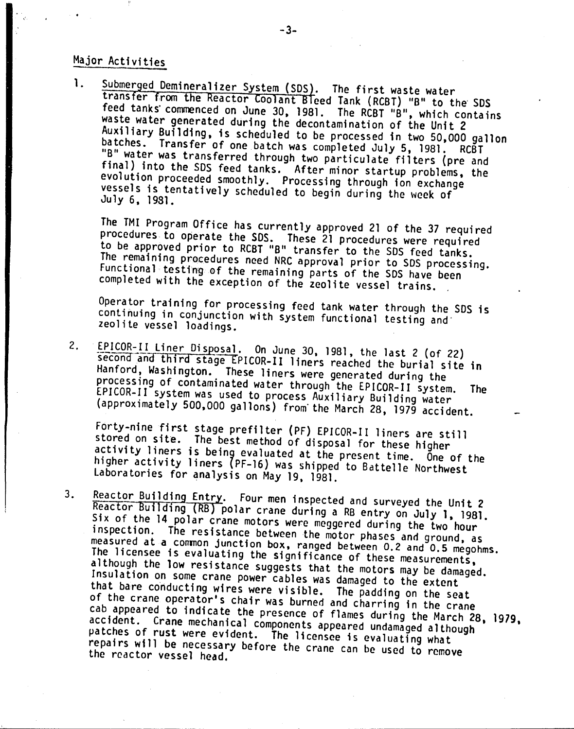## Major Activities

1. Submerged Demineralizer System (SDS). The first waste water transfer from the Reactor Coolant Bleed Tank (RCBT) "B" to the SDS feed tanks' commenced on June 30, 1981. The RCBT "B", which contains waste water generated during the decontamination of the Unit 2 Auxiliary Building, is scheduled to be processed in two 50,000 gallon batches. Transfer of one batch was completed July 5, 1981. RCBT "B" water was transferred through two particulate filters (pre and final) into the SDS feed tanks. After minor startup problems, the evolution proceeded smoothly. Processing through ion exchange vessels is tentatively scheduled to begin during the week of July 6, 1981.

The TMI Program Office has currently approved 21 of the 37 required procedures to operate the SDS. These 21 procedures were required to be approved prior to RCBT "B" transfer to the SOS feed tanks. The remaining procedures need NRC approval prior to SDS processing. Functional testing of the remaining parts of the SDS have been completed with the exception of the zeolite vessel trains.

Operator training for processing feed tank water through the SOS is continuing in conjunction with system functional testing and' zeolite vessel loadings.

2. EPICOR-II Liner Disposal. On June 30, 1981, the last 2 (of 22) second and third stage EPICOR-II liners reached the burial site in Hanford, Washington. These liners were generated during the processing of contaminated water through the EPICOR-II system. The EPICOR-II system was used to process Auxiliary Building water (approximately 500,000 gallons) from'the March 28, 1979 accident.

Forty-nine first stage prefilter (PF) EPICOR-II liners are still stored on site. The best method of disposal for these higher activity liners is being evaluated at the present time. One of the higher activity liners (PF-16) was shipped to Battelle Northwest Laboratories for analysis on May 19, 1981.

3. Reactor Building Entry. Four men inspected and surveyed the Unit 2 Reactor Building (RB) polar crane during a RB entry on July 1. 1981. Six of the 14 polar crane motors were meggered during the two hour inspection. The resistance between the motor phases and ground, as measured at a common junction box, ranged between 0.2 and 0.5 megohms. The licensee is evaluating the significance of these measurements, although the low resistance suggests that the motors may be damaged. Insulation on Some crane power cables was damaged to the extent that bare conducting wires were visible. The padding on the seat of the crane operator's chair was burned and charring in the crane cab appeared to indicate the presence of flames during the March 28. 1979. accident. Crane mechanical components appeared undamaged although patches of rust were evident. The licensee is evaluating what repairs will be necessary before the Crane can be used to remove the reactor vessel head.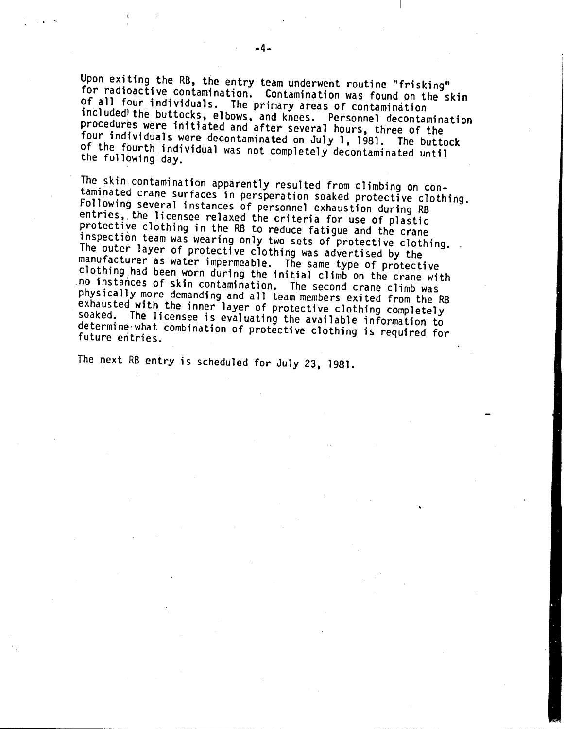Upon exiting the RB, the entry team underwent routine "frisking" for radioactive contamination. Contamination was found on the skin of all four fndividuals. The primary areas Of contamination included the buttocks, elbows, and knees. Personnel decontamination procedures were initiated and after several hours, three of the four individuals were decontaminated on July 1, 1981. The buttock of the fourth individual was not completely decontaminated until the following day.

The skin contamination apparently resulted from climbing on contaminated Crane surfaces in persperation soaked protective clothing. Following several instances of personnel exhaustion during RB entries, the licensee relaxed the criteria for use of plastic protective c16thing in the RB to reduce fatigue and the crane inspection team was wearing only two sets of protective clothing. The outer layer of protective clothing was advertised by the manufacturer as water impermeable. The same type of protective clothing had been worn during the initial climb on the crane with ,no instances of skin contamination. The second crane climb was physically more demanding and all team members exited from the RB exhausted with the inner layer of protective clothing completely soaked. The licensee is evaluating the available information to determine-what combination of protective clothing is required for future entries.

The next RB entry is scheduled for July 23, 1981.

.. ",